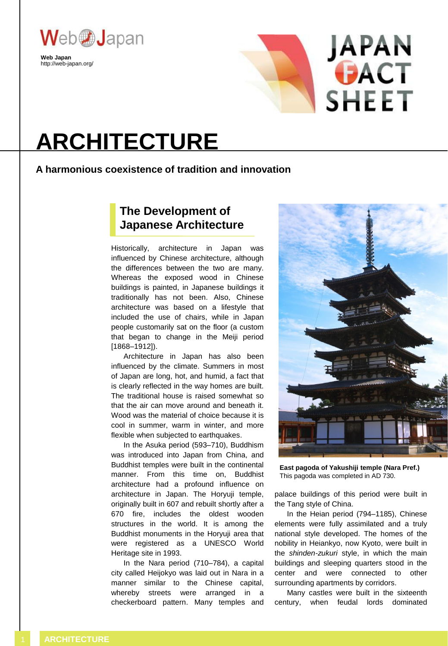

http://web-japan.org/



# **ARCHITECTURE**

### **A harmonious coexistence of tradition and innovation**

# **The Development of Japanese Architecture**

Historically, architecture in Japan was influenced by Chinese architecture, although the differences between the two are many. Whereas the exposed wood in Chinese buildings is painted, in Japanese buildings it traditionally has not been. Also, Chinese architecture was based on a lifestyle that included the use of chairs, while in Japan people customarily sat on the floor (a custom that began to change in the Meiji period [1868–1912]).

Architecture in Japan has also been influenced by the climate. Summers in most of Japan are long, hot, and humid, a fact that is clearly reflected in the way homes are built. The traditional house is raised somewhat so that the air can move around and beneath it. Wood was the material of choice because it is cool in summer, warm in winter, and more flexible when subjected to earthquakes.

In the Asuka period (593–710), Buddhism was introduced into Japan from China, and Buddhist temples were built in the continental manner. From this time on, Buddhist architecture had a profound influence on architecture in Japan. The Horyuji temple, originally built in 607 and rebuilt shortly after a 670 fire, includes the oldest wooden structures in the world. It is among the Buddhist monuments in the Horyuji area that were registered as a UNESCO World Heritage site in 1993.

In the Nara period (710–784), a capital city called Heijokyo was laid out in Nara in a manner similar to the Chinese capital, whereby streets were arranged in a checkerboard pattern. Many temples and



**East pagoda of Yakushiji temple (Nara Pref.)** This pagoda was completed in AD 730.

palace buildings of this period were built in the Tang style of China.

In the Heian period (794–1185), Chinese elements were fully assimilated and a truly national style developed. The homes of the nobility in Heiankyo, now Kyoto, were built in the *shinden-zukuri* style, in which the main buildings and sleeping quarters stood in the center and were connected to other surrounding apartments by corridors.

Many castles were built in the sixteenth century, when feudal lords dominated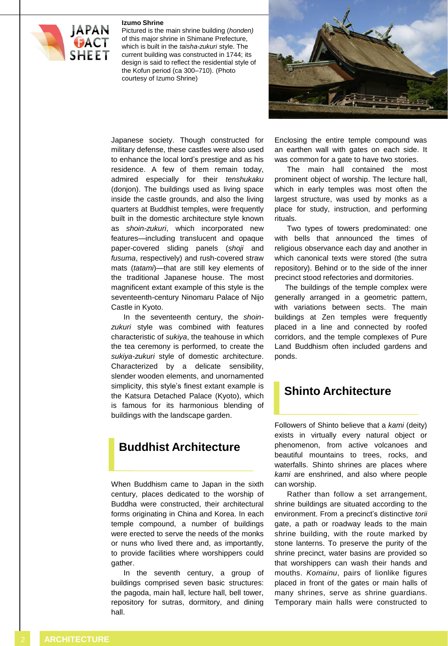#### **Izumo Shrine**



Pictured is the main shrine building (*honden)* of this major shrine in Shimane Prefecture, which is built in the *taisha-zukuri* style. The current building was constructed in 1744; its design is said to reflect the residential style of the Kofun period (ca 300–710). (Photo courtesy of Izumo Shrine)



Japanese society. Though constructed for military defense, these castles were also used to enhance the local lord's prestige and as his residence. A few of them remain today, admired especially for their *tenshukaku* (donjon). The buildings used as living space inside the castle grounds, and also the living quarters at Buddhist temples, were frequently built in the domestic architecture style known as *shoin-zukuri*, which incorporated new features—including translucent and opaque paper-covered sliding panels (*shoji* and *fusuma*, respectively) and rush-covered straw mats (*tatami*)—that are still key elements of the traditional Japanese house. The most magnificent extant example of this style is the seventeenth-century Ninomaru Palace of Nijo Castle in Kyoto.

In the seventeenth century, the *shoinzukuri* style was combined with features characteristic of *sukiya*, the teahouse in which the tea ceremony is performed, to create the *sukiya-zukuri* style of domestic architecture. Characterized by a delicate sensibility, slender wooden elements, and unornamented simplicity, this style's finest extant example is the Katsura Detached Palace (Kyoto), which is famous for its harmonious blending of buildings with the landscape garden.

## **Buddhist Architecture**

When Buddhism came to Japan in the sixth century, places dedicated to the worship of Buddha were constructed, their architectural forms originating in China and Korea. In each temple compound, a number of buildings were erected to serve the needs of the monks or nuns who lived there and, as importantly, to provide facilities where worshippers could gather.

In the seventh century, a group of buildings comprised seven basic structures: the pagoda, main hall, lecture hall, bell tower, repository for sutras, dormitory, and dining hall.

Enclosing the entire temple compound was an earthen wall with gates on each side. It was common for a gate to have two stories.

The main hall contained the most prominent object of worship. The lecture hall, which in early temples was most often the largest structure, was used by monks as a place for study, instruction, and performing rituals.

Two types of towers predominated: one with bells that announced the times of religious observance each day and another in which canonical texts were stored (the sutra repository). Behind or to the side of the inner precinct stood refectories and dormitories.

The buildings of the temple complex were generally arranged in a geometric pattern, with variations between sects. The main buildings at Zen temples were frequently placed in a line and connected by roofed corridors, and the temple complexes of Pure Land Buddhism often included gardens and ponds.

## **Shinto Architecture**

Followers of Shinto believe that a *kami* (deity) exists in virtually every natural object or phenomenon, from active volcanoes and beautiful mountains to trees, rocks, and waterfalls. Shinto shrines are places where *kami* are enshrined, and also where people can worship.

Rather than follow a set arrangement, shrine buildings are situated according to the environment. From a precinct's distinctive *torii* gate, a path or roadway leads to the main shrine building, with the route marked by stone lanterns. To preserve the purity of the shrine precinct, water basins are provided so that worshippers can wash their hands and mouths. *Komainu*, pairs of lionlike figures placed in front of the gates or main halls of many shrines, serve as shrine guardians. Temporary main halls were constructed to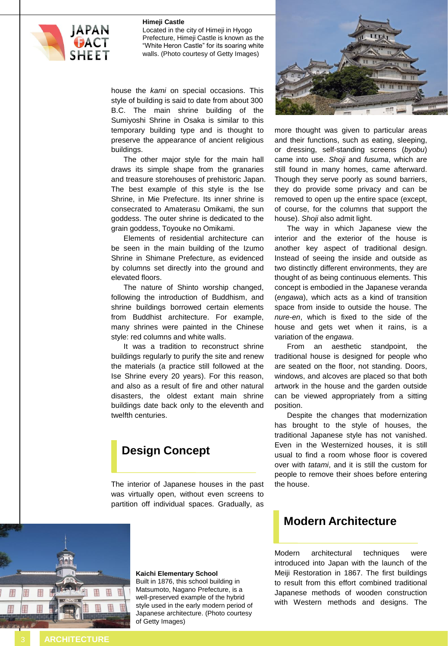#### **Himeji Castle**



Located in the city of Himeji in Hyogo Prefecture, Himeji Castle is known as the "White Heron Castle" for its soaring white walls. (Photo courtesy of Getty Images)

house the *kami* on special occasions. This style of building is said to date from about 300 B.C. The main shrine building of the Sumiyoshi Shrine in Osaka is similar to this temporary building type and is thought to preserve the appearance of ancient religious buildings.

The other major style for the main hall draws its simple shape from the granaries and treasure storehouses of prehistoric Japan. The best example of this style is the Ise Shrine, in Mie Prefecture. Its inner shrine is consecrated to Amaterasu Omikami, the sun goddess. The outer shrine is dedicated to the grain goddess, Toyouke no Omikami.

Elements of residential architecture can be seen in the main building of the Izumo Shrine in Shimane Prefecture, as evidenced by columns set directly into the ground and elevated floors.

The nature of Shinto worship changed, following the introduction of Buddhism, and shrine buildings borrowed certain elements from Buddhist architecture. For example, many shrines were painted in the Chinese style: red columns and white walls.

It was a tradition to reconstruct shrine buildings regularly to purify the site and renew the materials (a practice still followed at the Ise Shrine every 20 years). For this reason, and also as a result of fire and other natural disasters, the oldest extant main shrine buildings date back only to the eleventh and twelfth centuries.

## **Design Concept**

The interior of Japanese houses in the past was virtually open, without even screens to partition off individual spaces. Gradually, as



more thought was given to particular areas and their functions, such as eating, sleeping, or dressing, self-standing screens (*byobu*) came into use. *Shoji* and *fusuma*, which are still found in many homes, came afterward. Though they serve poorly as sound barriers, they do provide some privacy and can be removed to open up the entire space (except, of course, for the columns that support the house). *Shoji* also admit light.

The way in which Japanese view the interior and the exterior of the house is another key aspect of traditional design. Instead of seeing the inside and outside as two distinctly different environments, they are thought of as being continuous elements. This concept is embodied in the Japanese veranda (*engawa*), which acts as a kind of transition space from inside to outside the house. The *nure-en*, which is fixed to the side of the house and gets wet when it rains, is a variation of the *engawa*.

From an aesthetic standpoint, the traditional house is designed for people who are seated on the floor, not standing. Doors, windows, and alcoves are placed so that both artwork in the house and the garden outside can be viewed appropriately from a sitting position.

Despite the changes that modernization has brought to the style of houses, the traditional Japanese style has not vanished. Even in the Westernized houses, it is still usual to find a room whose floor is covered over with *tatami*, and it is still the custom for people to remove their shoes before entering the house.

## **Modern Architecture**

Modern architectural techniques were introduced into Japan with the launch of the Meiji Restoration in 1867. The first buildings to result from this effort combined traditional Japanese methods of wooden construction with Western methods and designs. The



#### **Kaichi Elementary School**

Built in 1876, this school building in Matsumoto, Nagano Prefecture, is a well-preserved example of the hybrid style used in the early modern period of Japanese architecture. (Photo courtesy of Getty Images)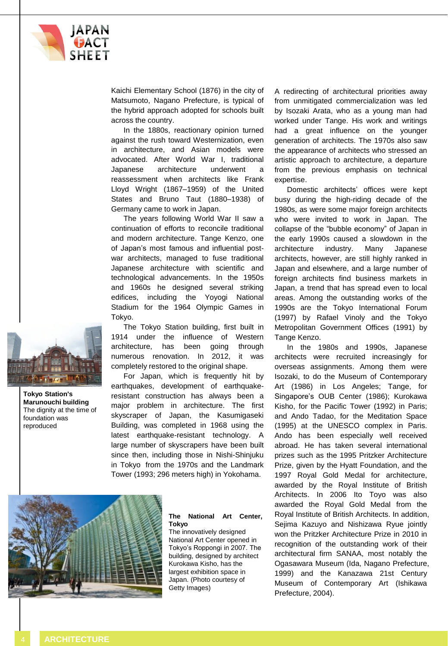

Kaichi Elementary School (1876) in the city of Matsumoto, Nagano Prefecture, is typical of the hybrid approach adopted for schools built across the country.

In the 1880s, reactionary opinion turned against the rush toward Westernization, even in architecture, and Asian models were advocated. After World War I, traditional Japanese architecture underwent a reassessment when architects like Frank Lloyd Wright (1867–1959) of the United States and Bruno Taut (1880–1938) of Germany came to work in Japan.

The years following World War II saw a continuation of efforts to reconcile traditional and modern architecture. Tange Kenzo, one of Japan's most famous and influential postwar architects, managed to fuse traditional Japanese architecture with scientific and technological advancements. In the 1950s and 1960s he designed several striking edifices, including the Yoyogi National Stadium for the 1964 Olympic Games in Tokyo.

The Tokyo Station building, first built in 1914 under the influence of Western architecture, has been going through numerous renovation. In 2012, it was completely restored to the original shape.

For Japan, which is frequently hit by earthquakes, development of earthquakeresistant construction has always been a major problem in architecture. The first skyscraper of Japan, the Kasumigaseki Building, was completed in 1968 using the latest earthquake-resistant technology. A large number of skyscrapers have been built since then, including those in Nishi-Shinjuku in Tokyo from the 1970s and the Landmark Tower (1993; 296 meters high) in Yokohama.

#### **The National Art Center, Tokyo**

The innovatively designed National Art Center opened in Tokyo's Roppongi in 2007. The building, designed by architect Kurokawa Kisho, has the largest exhibition space in Japan. (Photo courtesy of Getty Images)

A redirecting of architectural priorities away from unmitigated commercialization was led by Isozaki Arata, who as a young man had worked under Tange. His work and writings had a great influence on the younger generation of architects. The 1970s also saw the appearance of architects who stressed an artistic approach to architecture, a departure from the previous emphasis on technical expertise.

Domestic architects' offices were kept busy during the high-riding decade of the 1980s, as were some major foreign architects who were invited to work in Japan. The collapse of the "bubble economy" of Japan in the early 1990s caused a slowdown in the architecture industry. Many Japanese architects, however, are still highly ranked in Japan and elsewhere, and a large number of foreign architects find business markets in Japan, a trend that has spread even to local areas. Among the outstanding works of the 1990s are the Tokyo International Forum (1997) by Rafael Vinoly and the Tokyo Metropolitan Government Offices (1991) by Tange Kenzo.

In the 1980s and 1990s, Japanese architects were recruited increasingly for overseas assignments. Among them were Isozaki, to do the Museum of Contemporary Art (1986) in Los Angeles; Tange, for Singapore's OUB Center (1986); Kurokawa Kisho, for the Pacific Tower (1992) in Paris; and Ando Tadao, for the Meditation Space (1995) at the UNESCO complex in Paris. Ando has been especially well received abroad. He has taken several international prizes such as the 1995 Pritzker Architecture Prize, given by the Hyatt Foundation, and the 1997 Royal Gold Medal for architecture, awarded by the Royal Institute of British Architects. In 2006 Ito Toyo was also awarded the Royal Gold Medal from the Royal Institute of British Architects. In addition, Sejima Kazuyo and Nishizawa Ryue jointly won the Pritzker Architecture Prize in 2010 in recognition of the outstanding work of their architectural firm SANAA, most notably the Ogasawara Museum (Ida, Nagano Prefecture, 1999) and the Kanazawa 21st Century Museum of Contemporary Art (Ishikawa Prefecture, 2004).



**Tokyo Station's Marunouchi building** The dignity at the time of foundation was reproduced